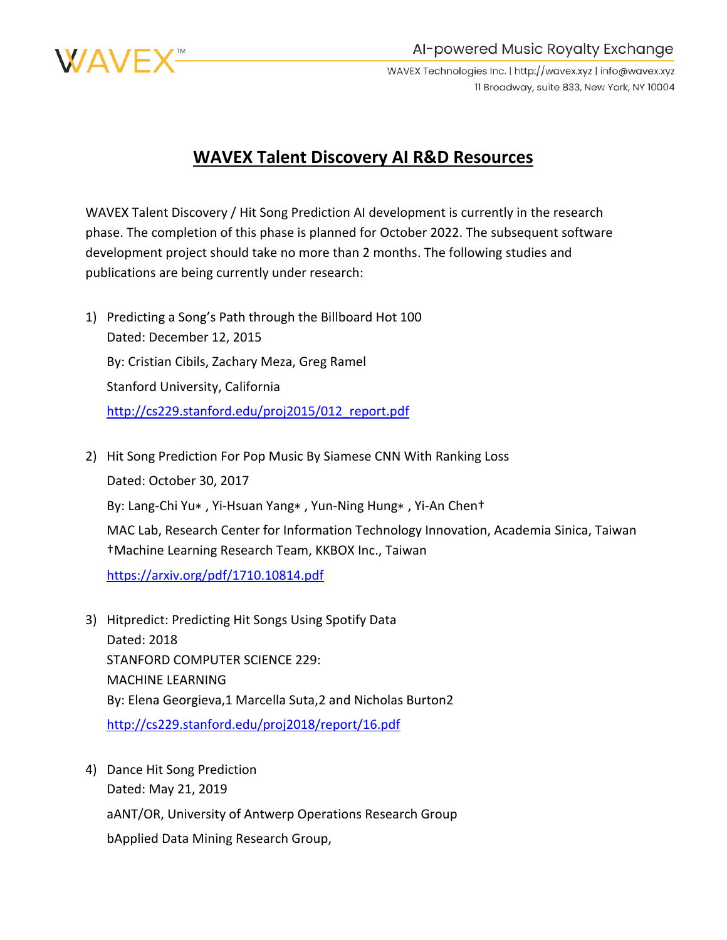

Al-powered Music Royalty Exchange

WAVEX Technologies Inc. | http://wavex.xyz | info@wavex.xyz 11 Broadway, suite 833, New York, NY 10004

## **WAVEX Talent Discovery AI R&D Resources**

WAVEX Talent Discovery / Hit Song Prediction AI development is currently in the research phase. The completion of this phase is planned for October 2022. The subsequent software development project should take no more than 2 months. The following studies and publications are being currently under research:

- 1) Predicting a Song's Path through the Billboard Hot 100 Dated: December 12, 2015 By: Cristian Cibils, Zachary Meza, Greg Ramel Stanford University, California [http://cs229.stanford.edu/proj2015/012\\_report.pdf](http://cs229.stanford.edu/proj2015/012_report.pdf)
- 2) Hit Song Prediction For Pop Music By Siamese CNN With Ranking Loss Dated: October 30, 2017 By: Lang-Chi Yu∗ , Yi-Hsuan Yang∗ , Yun-Ning Hung∗ , Yi-An Chen† MAC Lab, Research Center for Information Technology Innovation, Academia Sinica, Taiwan †Machine Learning Research Team, KKBOX Inc., Taiwan <https://arxiv.org/pdf/1710.10814.pdf>
- 3) Hitpredict: Predicting Hit Songs Using Spotify Data Dated: 2018 STANFORD COMPUTER SCIENCE 229: MACHINE LEARNING By: Elena Georgieva,1 Marcella Suta,2 and Nicholas Burton2 <http://cs229.stanford.edu/proj2018/report/16.pdf>
- 4) Dance Hit Song Prediction Dated: May 21, 2019 aANT/OR, University of Antwerp Operations Research Group bApplied Data Mining Research Group,